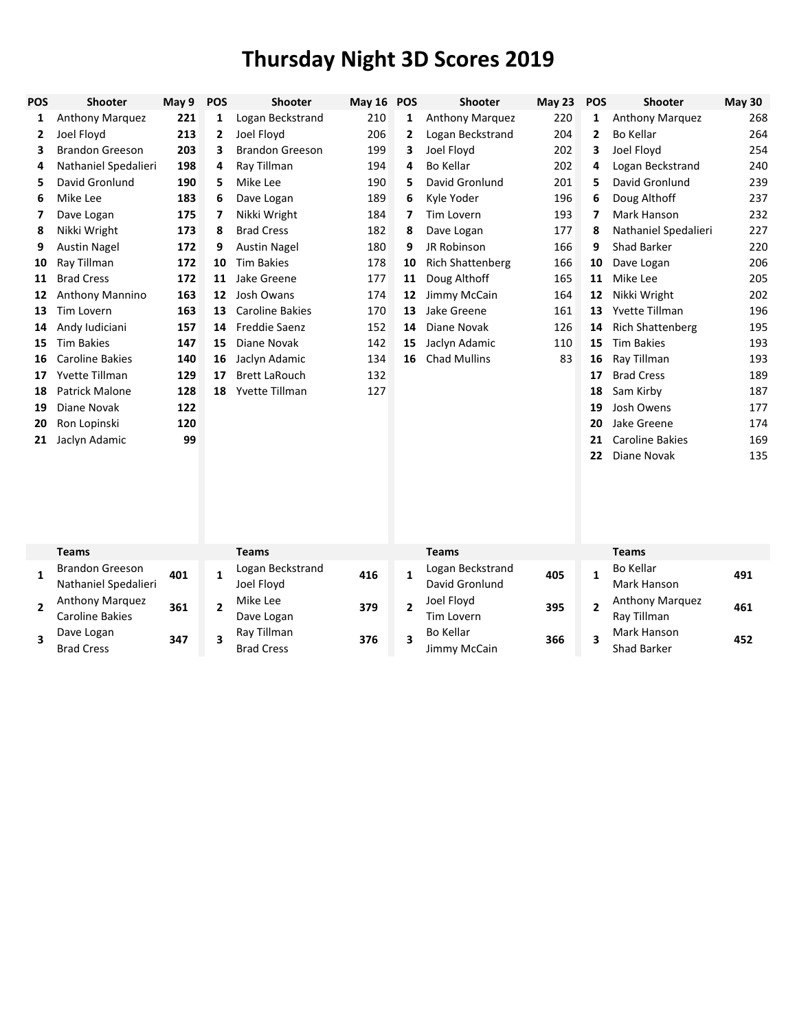| POS          | Shooter                                        | May 9 | <b>POS</b>   | Shooter                          | May 16 POS |                | Shooter                            | <b>May 23</b> | <b>POS</b>   | Shooter                         | <b>May 30</b> |
|--------------|------------------------------------------------|-------|--------------|----------------------------------|------------|----------------|------------------------------------|---------------|--------------|---------------------------------|---------------|
| 1            | Anthony Marquez                                | 221   | 1            | Logan Beckstrand                 | 210        | 1              | Anthony Marquez                    | 220           | 1            | <b>Anthony Marquez</b>          | 268           |
| 2            | Joel Floyd                                     | 213   | 2            | Joel Floyd                       | 206        | 2              | Logan Beckstrand                   | 204           | 2            | <b>Bo Kellar</b>                | 264           |
| 3            | <b>Brandon Greeson</b>                         | 203   | 3            | <b>Brandon Greeson</b>           | 199        | 3              | Joel Floyd                         | 202           | 3            | Joel Floyd                      | 254           |
| 4            | Nathaniel Spedalieri                           | 198   | 4            | Ray Tillman                      | 194        | 4              | <b>Bo Kellar</b>                   | 202           | 4            | Logan Beckstrand                | 240           |
| 5            | David Gronlund                                 | 190   | 5            | Mike Lee                         | 190        | 5              | David Gronlund                     | 201           | 5            | David Gronlund                  | 239           |
| 6            | Mike Lee                                       | 183   | 6            | Dave Logan                       | 189        | 6              | Kyle Yoder                         | 196           | 6            | Doug Althoff                    | 237           |
| 7            | Dave Logan                                     | 175   | 7            | Nikki Wright                     | 184        | 7              | Tim Lovern                         | 193           | 7            | Mark Hanson                     | 232           |
| 8            | Nikki Wright                                   | 173   | 8            | <b>Brad Cress</b>                | 182        | 8              | Dave Logan                         | 177           | 8            | Nathaniel Spedalieri            | 227           |
| 9            | <b>Austin Nagel</b>                            | 172   | 9            | <b>Austin Nagel</b>              | 180        | 9              | JR Robinson                        | 166           | 9            | <b>Shad Barker</b>              | 220           |
| 10           | Ray Tillman                                    | 172   | 10           | <b>Tim Bakies</b>                | 178        | 10             | <b>Rich Shattenberg</b>            | 166           | 10           | Dave Logan                      | 206           |
| 11           | <b>Brad Cress</b>                              | 172   | 11           | Jake Greene                      | 177        | 11             | Doug Althoff                       | 165           | 11           | Mike Lee                        | 205           |
| 12           | <b>Anthony Mannino</b>                         | 163   | 12           | Josh Owans                       | 174        | 12             | Jimmy McCain                       | 164           | 12           | Nikki Wright                    | 202           |
| 13           | <b>Tim Lovern</b>                              | 163   | 13           | <b>Caroline Bakies</b>           | 170        | 13             | Jake Greene                        | 161           | 13           | <b>Yvette Tillman</b>           | 196           |
| 14           | Andy Iudiciani                                 | 157   | 14           | <b>Freddie Saenz</b>             | 152        | 14             | Diane Novak                        | 126           | 14           | <b>Rich Shattenberg</b>         | 195           |
| 15           | <b>Tim Bakies</b>                              | 147   | 15           | Diane Novak                      | 142        | 15             | Jaclyn Adamic                      | 110           | 15           | <b>Tim Bakies</b>               | 193           |
| 16           | <b>Caroline Bakies</b>                         | 140   | 16           | Jaclyn Adamic                    | 134        | 16             | <b>Chad Mullins</b>                | 83            | 16           | Ray Tillman                     | 193           |
| 17           | <b>Yvette Tillman</b>                          | 129   | 17           | <b>Brett LaRouch</b>             | 132        |                |                                    |               | 17           | <b>Brad Cress</b>               | 189           |
| 18           | <b>Patrick Malone</b>                          | 128   | 18           | Yvette Tillman                   | 127        |                |                                    |               | 18           | Sam Kirby                       | 187           |
| 19           | Diane Novak                                    | 122   |              |                                  |            |                |                                    |               | 19           | Josh Owens                      | 177           |
| 20           | Ron Lopinski                                   | 120   |              |                                  |            |                |                                    |               | 20           | Jake Greene                     | 174           |
| 21           | Jaclyn Adamic                                  | 99    |              |                                  |            |                |                                    |               | 21           | <b>Caroline Bakies</b>          | 169           |
|              |                                                |       |              |                                  |            |                |                                    |               | 22           | Diane Novak                     | 135           |
|              |                                                |       |              |                                  |            |                |                                    |               |              |                                 |               |
|              | <b>Teams</b>                                   |       |              | <b>Teams</b>                     |            |                | <b>Teams</b>                       |               |              | <b>Teams</b>                    |               |
| $\mathbf{1}$ | <b>Brandon Greeson</b><br>Nathaniel Spedalieri | 401   | $\mathbf{1}$ | Logan Beckstrand<br>Joel Floyd   | 416        | $\mathbf{1}$   | Logan Beckstrand<br>David Gronlund | 405           | $\mathbf{1}$ | <b>Bo Kellar</b><br>Mark Hanson | 491           |
| $\mathbf{2}$ | Anthony Marquez<br><b>Caroline Bakies</b>      | 361   | $\mathbf{2}$ | Mike Lee<br>Dave Logan           | 379        | $\overline{2}$ | Joel Floyd<br><b>Tim Lovern</b>    | 395           | 2            | Anthony Marquez<br>Ray Tillman  | 461           |
| 3            | Dave Logan<br><b>Brad Cress</b>                | 347   | 3            | Ray Tillman<br><b>Brad Cress</b> | 376        | 3              | <b>Bo Kellar</b><br>Jimmy McCain   | 366           | 3            | Mark Hanson<br>Shad Barker      | 452           |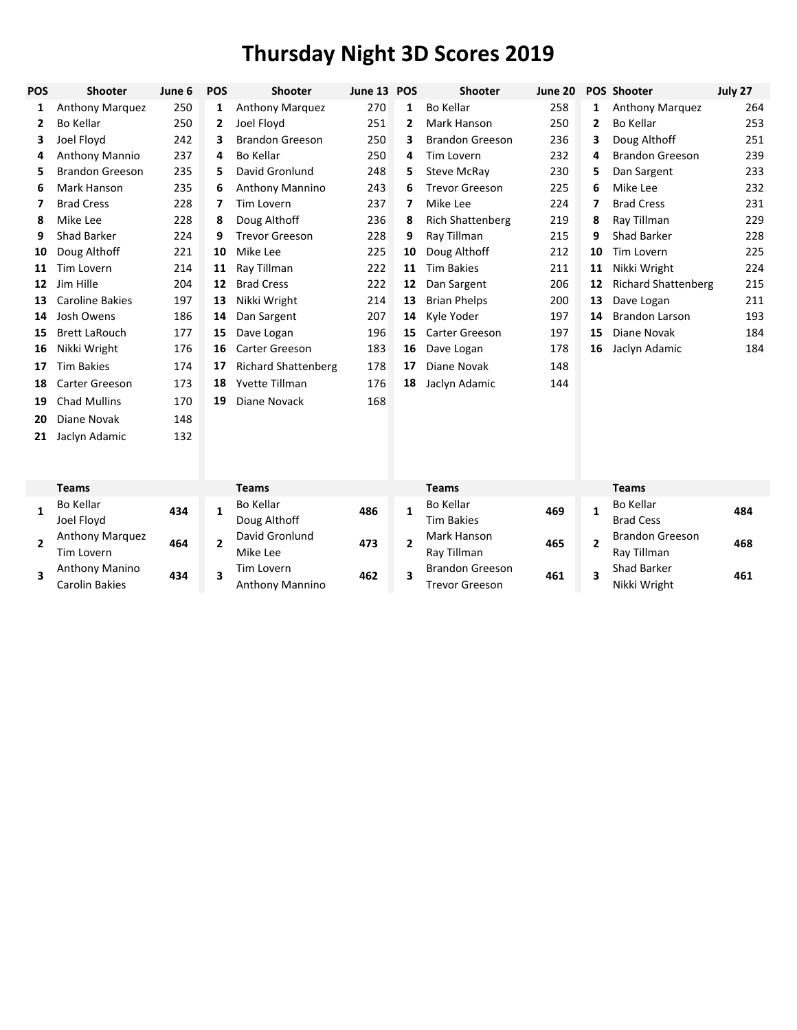| <b>POS</b> | <b>Shooter</b>         | June 6 | <b>POS</b> | Shooter                    | June 13 | <b>POS</b>   | <b>Shooter</b>          | June 20 |    | POS Shooter                | July 27 |
|------------|------------------------|--------|------------|----------------------------|---------|--------------|-------------------------|---------|----|----------------------------|---------|
| 1          | <b>Anthony Marquez</b> | 250    | 1          | <b>Anthony Marquez</b>     | 270     | 1            | Bo Kellar               | 258     | 1  | <b>Anthony Marquez</b>     | 264     |
| 2          | Bo Kellar              | 250    | 2          | Joel Floyd                 | 251     | $\mathbf{2}$ | Mark Hanson             | 250     | 2  | Bo Kellar                  | 253     |
| 3          | Joel Floyd             | 242    | 3          | <b>Brandon Greeson</b>     | 250     | 3            | <b>Brandon Greeson</b>  | 236     | 3  | Doug Althoff               | 251     |
| 4          | Anthony Mannio         | 237    | 4          | Bo Kellar                  | 250     | 4            | Tim Lovern              | 232     | 4  | <b>Brandon Greeson</b>     | 239     |
| 5.         | <b>Brandon Greeson</b> | 235    | 5          | David Gronlund             | 248     | 5            | Steve McRay             | 230     | 5  | Dan Sargent                | 233     |
| 6          | Mark Hanson            | 235    | 6          | Anthony Mannino            | 243     | 6            | <b>Trevor Greeson</b>   | 225     | 6  | Mike Lee                   | 232     |
|            | <b>Brad Cress</b>      | 228    | 7          | Tim Lovern                 | 237     | 7            | Mike Lee                | 224     | 7  | <b>Brad Cress</b>          | 231     |
| 8          | Mike Lee               | 228    | 8          | Doug Althoff               | 236     | 8            | <b>Rich Shattenberg</b> | 219     | 8  | Ray Tillman                | 229     |
| 9          | Shad Barker            | 224    | 9          | <b>Trevor Greeson</b>      | 228     | 9            | Ray Tillman             | 215     | 9  | Shad Barker                | 228     |
| 10         | Doug Althoff           | 221    | 10         | Mike Lee                   | 225     | 10           | Doug Althoff            | 212     | 10 | Tim Lovern                 | 225     |
| 11         | <b>Tim Lovern</b>      | 214    | 11         | Ray Tillman                | 222     | 11           | <b>Tim Bakies</b>       | 211     | 11 | Nikki Wright               | 224     |
| 12         | Jim Hille              | 204    | 12         | <b>Brad Cress</b>          | 222     | 12           | Dan Sargent             | 206     | 12 | <b>Richard Shattenberg</b> | 215     |
| 13         | <b>Caroline Bakies</b> | 197    | 13         | Nikki Wright               | 214     | 13           | <b>Brian Phelps</b>     | 200     | 13 | Dave Logan                 | 211     |
| 14         | Josh Owens             | 186    | 14         | Dan Sargent                | 207     | 14           | Kyle Yoder              | 197     | 14 | <b>Brandon Larson</b>      | 193     |
| 15         | <b>Brett LaRouch</b>   | 177    | 15         | Dave Logan                 | 196     | 15           | Carter Greeson          | 197     | 15 | Diane Novak                | 184     |
| 16         | Nikki Wright           | 176    | 16         | Carter Greeson             | 183     | 16           | Dave Logan              | 178     | 16 | Jaclyn Adamic              | 184     |
| 17         | <b>Tim Bakies</b>      | 174    | 17         | <b>Richard Shattenberg</b> | 178     | 17           | Diane Novak             | 148     |    |                            |         |
| 18         | Carter Greeson         | 173    | 18         | Yvette Tillman             | 176     | 18           | Jaclyn Adamic           | 144     |    |                            |         |
| 19         | Chad Mullins           | 170    | 19         | Diane Novack               | 168     |              |                         |         |    |                            |         |
| 20         | Diane Novak            | 148    |            |                            |         |              |                         |         |    |                            |         |

|  | <b>Teams</b>           |     | <b>Teams</b>    |     |  | Teams                  |     |  | Teams                  |     |
|--|------------------------|-----|-----------------|-----|--|------------------------|-----|--|------------------------|-----|
|  | Bo Kellar              |     | Bo Kellar       | 486 |  | Bo Kellar              | 469 |  | <b>Bo Kellar</b>       | 484 |
|  | Joel Floyd             | 434 | Doug Althoff    |     |  | Tim Bakies             |     |  | <b>Brad Cess</b>       |     |
|  | <b>Anthony Marquez</b> | 464 | David Gronlund  | 473 |  | Mark Hanson            | 465 |  | <b>Brandon Greeson</b> | 468 |
|  | Tim Lovern             |     | Mike Lee        |     |  | Ray Tillman            |     |  | Ray Tillman            |     |
|  | Anthony Manino         |     | Tim Lovern      | 462 |  | <b>Brandon Greeson</b> | 461 |  | Shad Barker            | 461 |
|  | Carolin Bakies         | 434 | Anthony Mannino |     |  | Trevor Greeson         |     |  | Nikki Wright           |     |

Jaclyn Adamic 132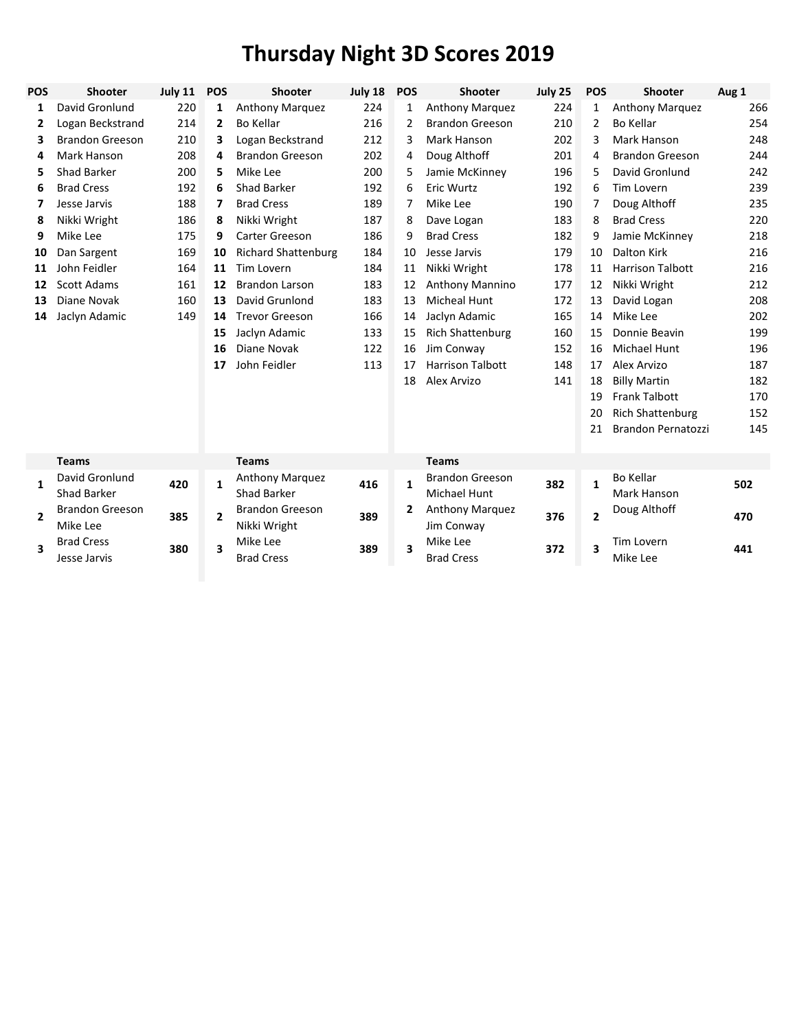| POS | Shooter                            | <b>July 11</b> | <b>POS</b>     | Shooter                                | July 18 | <b>POS</b>              | <b>Shooter</b>                         | July 25 | <b>POS</b>     | Shooter                         | Aug 1 |
|-----|------------------------------------|----------------|----------------|----------------------------------------|---------|-------------------------|----------------------------------------|---------|----------------|---------------------------------|-------|
| 1   | David Gronlund                     | 220            | 1              | Anthony Marquez                        | 224     | $\mathbf{1}$            | Anthony Marquez                        | 224     | 1              | <b>Anthony Marquez</b>          | 266   |
| 2   | Logan Beckstrand                   | 214            | $\mathbf{2}$   | Bo Kellar                              | 216     | 2                       | <b>Brandon Greeson</b>                 | 210     | 2              | Bo Kellar                       | 254   |
| 3   | <b>Brandon Greeson</b>             | 210            | 3              | Logan Beckstrand                       | 212     | 3                       | <b>Mark Hanson</b>                     | 202     | 3              | Mark Hanson                     | 248   |
| 4   | Mark Hanson                        | 208            | 4              | <b>Brandon Greeson</b>                 | 202     | 4                       | Doug Althoff                           | 201     | 4              | <b>Brandon Greeson</b>          | 244   |
| 5   | <b>Shad Barker</b>                 | 200            | 5              | Mike Lee                               | 200     | 5                       | Jamie McKinney                         | 196     | 5              | David Gronlund                  | 242   |
| 6   | <b>Brad Cress</b>                  | 192            | 6              | Shad Barker                            | 192     | 6                       | <b>Eric Wurtz</b>                      | 192     | 6              | <b>Tim Lovern</b>               | 239   |
| 7   | Jesse Jarvis                       | 188            | 7              | <b>Brad Cress</b>                      | 189     | 7                       | Mike Lee                               | 190     | 7              | Doug Althoff                    | 235   |
| 8   | Nikki Wright                       | 186            | 8              | Nikki Wright                           | 187     | 8                       | Dave Logan                             | 183     | 8              | <b>Brad Cress</b>               | 220   |
| 9   | Mike Lee                           | 175            | 9              | Carter Greeson                         | 186     | 9                       | <b>Brad Cress</b>                      | 182     | 9              | Jamie McKinney                  | 218   |
| 10  | Dan Sargent                        | 169            | 10             | <b>Richard Shattenburg</b>             | 184     | 10                      | Jesse Jarvis                           | 179     | 10             | Dalton Kirk                     | 216   |
| 11  | John Feidler                       | 164            | 11             | Tim Lovern                             | 184     | 11                      | Nikki Wright                           | 178     | 11             | <b>Harrison Talbott</b>         | 216   |
| 12  | <b>Scott Adams</b>                 | 161            | 12             | <b>Brandon Larson</b>                  | 183     | 12                      | <b>Anthony Mannino</b>                 | 177     | 12             | Nikki Wright                    | 212   |
| 13  | Diane Novak                        | 160            | 13             | David Grunlond                         | 183     | 13                      | <b>Micheal Hunt</b>                    | 172     | 13             | David Logan                     | 208   |
| 14  | Jaclyn Adamic                      | 149            | 14             | <b>Trevor Greeson</b>                  | 166     | 14                      | Jaclyn Adamic                          | 165     | 14             | Mike Lee                        | 202   |
|     |                                    |                | 15             | Jaclyn Adamic                          | 133     | 15                      | <b>Rich Shattenburg</b>                | 160     | 15             | Donnie Beavin                   | 199   |
|     |                                    |                | 16             | Diane Novak                            | 122     | 16                      | Jim Conway                             | 152     | 16             | <b>Michael Hunt</b>             | 196   |
|     |                                    |                | 17             | John Feidler                           | 113     | 17                      | <b>Harrison Talbott</b>                | 148     | 17             | Alex Arvizo                     | 187   |
|     |                                    |                |                |                                        |         | 18                      | Alex Arvizo                            | 141     | 18             | <b>Billy Martin</b>             | 182   |
|     |                                    |                |                |                                        |         |                         |                                        |         | 19             | <b>Frank Talbott</b>            | 170   |
|     |                                    |                |                |                                        |         |                         |                                        |         | 20             | <b>Rich Shattenburg</b>         | 152   |
|     |                                    |                |                |                                        |         |                         |                                        |         | 21             | <b>Brandon Pernatozzi</b>       | 145   |
|     | <b>Teams</b>                       |                |                | <b>Teams</b>                           |         |                         | <b>Teams</b>                           |         |                |                                 |       |
| 1   | David Gronlund<br>Shad Barker      | 420            | $\mathbf{1}$   | Anthony Marquez<br>Shad Barker         | 416     | $\mathbf{1}$            | <b>Brandon Greeson</b><br>Michael Hunt | 382     | $\mathbf{1}$   | <b>Bo Kellar</b><br>Mark Hanson | 502   |
| 2   | <b>Brandon Greeson</b><br>Mike Lee | 385            | $\overline{2}$ | <b>Brandon Greeson</b><br>Nikki Wright | 389     | $\overline{2}$          | Anthony Marquez<br>Jim Conway          | 376     | $\overline{2}$ | Doug Althoff                    | 470   |
| 3   | <b>Brad Cress</b><br>Jesse Jarvis  | 380            | 3              | Mike Lee<br><b>Brad Cress</b>          | 389     | $\overline{\mathbf{3}}$ | Mike Lee<br><b>Brad Cress</b>          | 372     | 3              | <b>Tim Lovern</b><br>Mike Lee   | 441   |